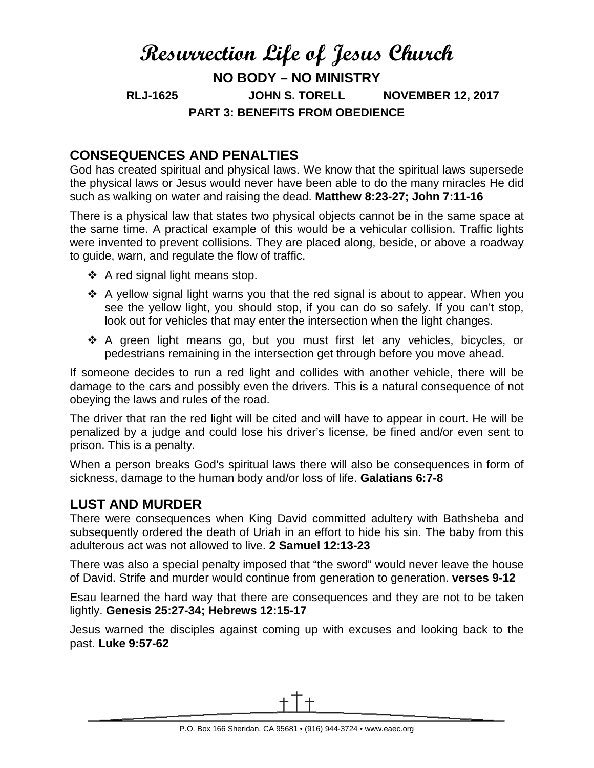# **Resurrection Life of Jesus Church NO BODY – NO MINISTRY RLJ-1625 JOHN S. TORELL NOVEMBER 12, 2017 PART 3: BENEFITS FROM OBEDIENCE**

# **CONSEQUENCES AND PENALTIES**

God has created spiritual and physical laws. We know that the spiritual laws supersede the physical laws or Jesus would never have been able to do the many miracles He did such as walking on water and raising the dead. **Matthew 8:23-27; John 7:11-16**

There is a physical law that states two physical objects cannot be in the same space at the same time. A practical example of this would be a vehicular collision. Traffic lights were invented to prevent collisions. They are placed along, beside, or above a roadway to guide, warn, and regulate the flow of traffic.

- $\triangle$  A red signal light means stop.
- \* A yellow signal light warns you that the red signal is about to appear. When you see the yellow light, you should stop, if you can do so safely. If you can't stop, look out for vehicles that may enter the intersection when the light changes.
- \* A green light means go, but you must first let any vehicles, bicycles, or pedestrians remaining in the intersection get through before you move ahead.

If someone decides to run a red light and collides with another vehicle, there will be damage to the cars and possibly even the drivers. This is a natural consequence of not obeying the laws and rules of the road.

The driver that ran the red light will be cited and will have to appear in court. He will be penalized by a judge and could lose his driver's license, be fined and/or even sent to prison. This is a penalty.

When a person breaks God's spiritual laws there will also be consequences in form of sickness, damage to the human body and/or loss of life. **Galatians 6:7-8**

## **LUST AND MURDER**

There were consequences when King David committed adultery with Bathsheba and subsequently ordered the death of Uriah in an effort to hide his sin. The baby from this adulterous act was not allowed to live. **2 Samuel 12:13-23**

There was also a special penalty imposed that "the sword" would never leave the house of David. Strife and murder would continue from generation to generation. **verses 9-12**

Esau learned the hard way that there are consequences and they are not to be taken lightly. **Genesis 25:27-34; Hebrews 12:15-17**

Jesus warned the disciples against coming up with excuses and looking back to the past. **Luke 9:57-62**

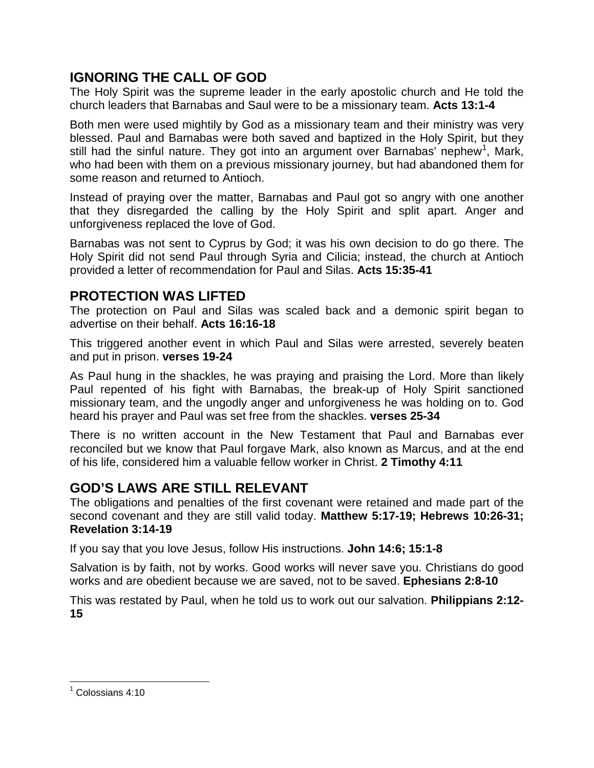# **IGNORING THE CALL OF GOD**

The Holy Spirit was the supreme leader in the early apostolic church and He told the church leaders that Barnabas and Saul were to be a missionary team. **Acts 13:1-4**

Both men were used mightily by God as a missionary team and their ministry was very blessed. Paul and Barnabas were both saved and baptized in the Holy Spirit, but they still had the sinful nature. They got into an argument over Barnabas' nephew<sup>[1](#page-1-0)</sup>, Mark, who had been with them on a previous missionary journey, but had abandoned them for some reason and returned to Antioch.

Instead of praying over the matter, Barnabas and Paul got so angry with one another that they disregarded the calling by the Holy Spirit and split apart. Anger and unforgiveness replaced the love of God.

Barnabas was not sent to Cyprus by God; it was his own decision to do go there. The Holy Spirit did not send Paul through Syria and Cilicia; instead, the church at Antioch provided a letter of recommendation for Paul and Silas. **Acts 15:35-41**

#### **PROTECTION WAS LIFTED**

The protection on Paul and Silas was scaled back and a demonic spirit began to advertise on their behalf. **Acts 16:16-18**

This triggered another event in which Paul and Silas were arrested, severely beaten and put in prison. **verses 19-24**

As Paul hung in the shackles, he was praying and praising the Lord. More than likely Paul repented of his fight with Barnabas, the break-up of Holy Spirit sanctioned missionary team, and the ungodly anger and unforgiveness he was holding on to. God heard his prayer and Paul was set free from the shackles. **verses 25-34**

There is no written account in the New Testament that Paul and Barnabas ever reconciled but we know that Paul forgave Mark, also known as Marcus, and at the end of his life, considered him a valuable fellow worker in Christ. **2 Timothy 4:11**

## **GOD'S LAWS ARE STILL RELEVANT**

The obligations and penalties of the first covenant were retained and made part of the second covenant and they are still valid today. **Matthew 5:17-19; Hebrews 10:26-31; Revelation 3:14-19**

If you say that you love Jesus, follow His instructions. **John 14:6; 15:1-8**

Salvation is by faith, not by works. Good works will never save you. Christians do good works and are obedient because we are saved, not to be saved. **Ephesians 2:8-10**

This was restated by Paul, when he told us to work out our salvation. **Philippians 2:12- 15**

<span id="page-1-0"></span> $<sup>1</sup>$  Colossians 4:10</sup>